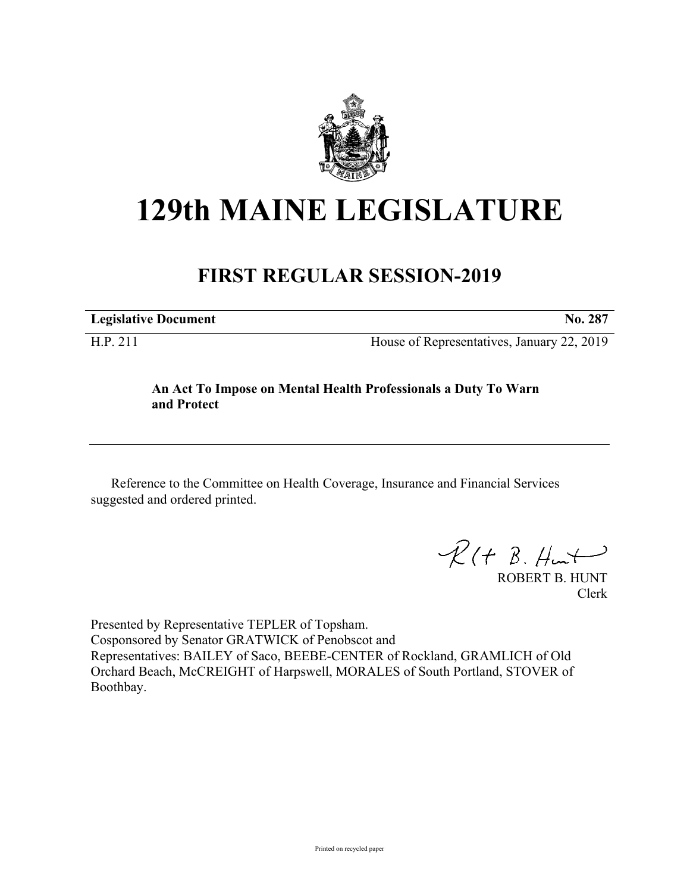

# **129th MAINE LEGISLATURE**

## **FIRST REGULAR SESSION-2019**

**Legislative Document No. 287**

H.P. 211 House of Representatives, January 22, 2019

#### **An Act To Impose on Mental Health Professionals a Duty To Warn and Protect**

Reference to the Committee on Health Coverage, Insurance and Financial Services suggested and ordered printed.

 $R(H B. H<sub>un</sub>+)$ 

ROBERT B. HUNT Clerk

Presented by Representative TEPLER of Topsham. Cosponsored by Senator GRATWICK of Penobscot and Representatives: BAILEY of Saco, BEEBE-CENTER of Rockland, GRAMLICH of Old Orchard Beach, McCREIGHT of Harpswell, MORALES of South Portland, STOVER of Boothbay.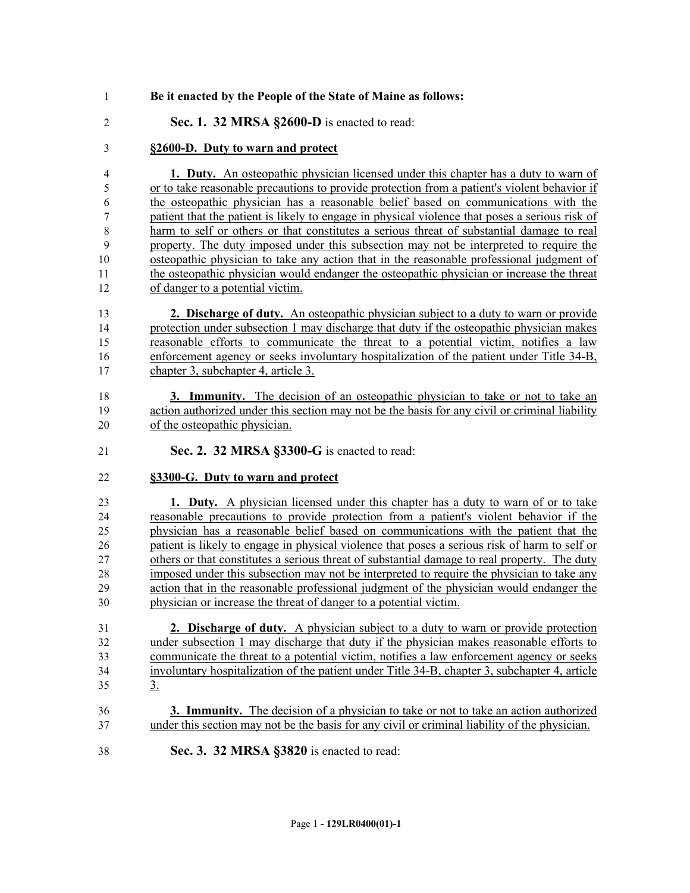- **Be it enacted by the People of the State of Maine as follows:**
- **Sec. 1. 32 MRSA §2600-D** is enacted to read:

#### **§2600-D. Duty to warn and protect**

 **1. Duty.** An osteopathic physician licensed under this chapter has a duty to warn of or to take reasonable precautions to provide protection from a patient's violent behavior if the osteopathic physician has a reasonable belief based on communications with the patient that the patient is likely to engage in physical violence that poses a serious risk of harm to self or others or that constitutes a serious threat of substantial damage to real property. The duty imposed under this subsection may not be interpreted to require the osteopathic physician to take any action that in the reasonable professional judgment of the osteopathic physician would endanger the osteopathic physician or increase the threat of danger to a potential victim.

 **2. Discharge of duty.** An osteopathic physician subject to a duty to warn or provide protection under subsection 1 may discharge that duty if the osteopathic physician makes reasonable efforts to communicate the threat to a potential victim, notifies a law enforcement agency or seeks involuntary hospitalization of the patient under Title 34-B, chapter 3, subchapter 4, article 3.

- **3. Immunity.** The decision of an osteopathic physician to take or not to take an action authorized under this section may not be the basis for any civil or criminal liability of the osteopathic physician.
- **Sec. 2. 32 MRSA §3300-G** is enacted to read:

#### **§3300-G. Duty to warn and protect**

 **1. Duty.** A physician licensed under this chapter has a duty to warn of or to take reasonable precautions to provide protection from a patient's violent behavior if the physician has a reasonable belief based on communications with the patient that the patient is likely to engage in physical violence that poses a serious risk of harm to self or others or that constitutes a serious threat of substantial damage to real property. The duty imposed under this subsection may not be interpreted to require the physician to take any action that in the reasonable professional judgment of the physician would endanger the physician or increase the threat of danger to a potential victim.

 **2. Discharge of duty.** A physician subject to a duty to warn or provide protection under subsection 1 may discharge that duty if the physician makes reasonable efforts to communicate the threat to a potential victim, notifies a law enforcement agency or seeks involuntary hospitalization of the patient under Title 34-B, chapter 3, subchapter 4, article 3.

- **3. Immunity.** The decision of a physician to take or not to take an action authorized under this section may not be the basis for any civil or criminal liability of the physician.
- **Sec. 3. 32 MRSA §3820** is enacted to read: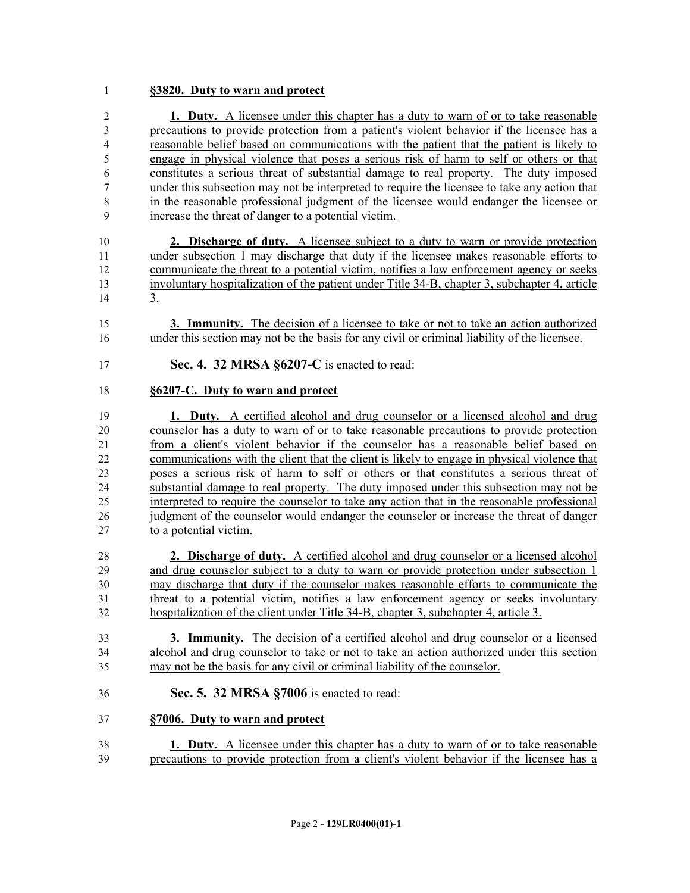#### **§3820. Duty to warn and protect**

 **1. Duty.** A licensee under this chapter has a duty to warn of or to take reasonable precautions to provide protection from a patient's violent behavior if the licensee has a reasonable belief based on communications with the patient that the patient is likely to engage in physical violence that poses a serious risk of harm to self or others or that constitutes a serious threat of substantial damage to real property. The duty imposed under this subsection may not be interpreted to require the licensee to take any action that in the reasonable professional judgment of the licensee would endanger the licensee or increase the threat of danger to a potential victim.

 **2. Discharge of duty.** A licensee subject to a duty to warn or provide protection under subsection 1 may discharge that duty if the licensee makes reasonable efforts to communicate the threat to a potential victim, notifies a law enforcement agency or seeks involuntary hospitalization of the patient under Title 34-B, chapter 3, subchapter 4, article 3.

 **3. Immunity.** The decision of a licensee to take or not to take an action authorized under this section may not be the basis for any civil or criminal liability of the licensee.

**Sec. 4. 32 MRSA §6207-C** is enacted to read:

#### **§6207-C. Duty to warn and protect**

 **1. Duty.** A certified alcohol and drug counselor or a licensed alcohol and drug counselor has a duty to warn of or to take reasonable precautions to provide protection from a client's violent behavior if the counselor has a reasonable belief based on communications with the client that the client is likely to engage in physical violence that poses a serious risk of harm to self or others or that constitutes a serious threat of substantial damage to real property. The duty imposed under this subsection may not be interpreted to require the counselor to take any action that in the reasonable professional judgment of the counselor would endanger the counselor or increase the threat of danger to a potential victim.

 **2. Discharge of duty.** A certified alcohol and drug counselor or a licensed alcohol 29 and drug counselor subject to a duty to warn or provide protection under subsection 1 may discharge that duty if the counselor makes reasonable efforts to communicate the threat to a potential victim, notifies a law enforcement agency or seeks involuntary hospitalization of the client under Title 34-B, chapter 3, subchapter 4, article 3.

 **3. Immunity.** The decision of a certified alcohol and drug counselor or a licensed alcohol and drug counselor to take or not to take an action authorized under this section may not be the basis for any civil or criminal liability of the counselor.

**Sec. 5. 32 MRSA §7006** is enacted to read:

#### **§7006. Duty to warn and protect**

 **1. Duty.** A licensee under this chapter has a duty to warn of or to take reasonable precautions to provide protection from a client's violent behavior if the licensee has a